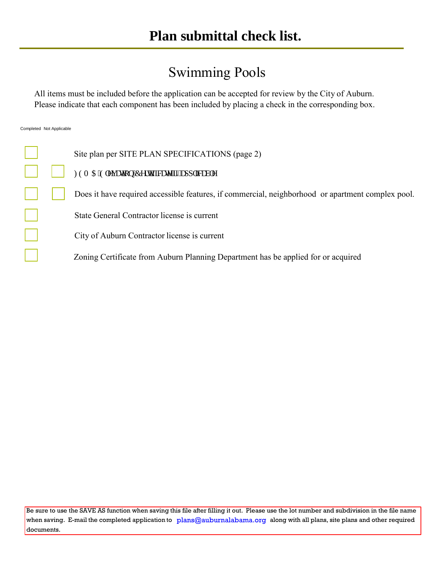## Swimming Pools

All items must be included before the application can be accepted for review by the City of Auburn. Please indicate that each component has been included by placing a check in the corresponding box.

Completed Not Applicable

|  | Site plan per SITE PLAN SPECIFICATIONS (page 2)                                                   |
|--|---------------------------------------------------------------------------------------------------|
|  | HGO C'Grgxcvkqp'Egtvkhlecvg'kh'cr r rkecdrg                                                       |
|  | Does it have required accessible features, if commercial, neighborhood or apartment complex pool. |
|  | State General Contractor license is current                                                       |
|  | City of Auburn Contractor license is current                                                      |
|  | Zoning Certificate from Auburn Planning Department has be applied for or acquired                 |

Be sure to use the SAVE AS function when saving this file after filling it out. Please use the lot number and subdivision in the file name when saving. E-mail the completed application to  $\;$  [plans@auburnalabama.org](mailto:plans@auburnalabama.org)  $\;$  along with all plans, site plans and other required documents.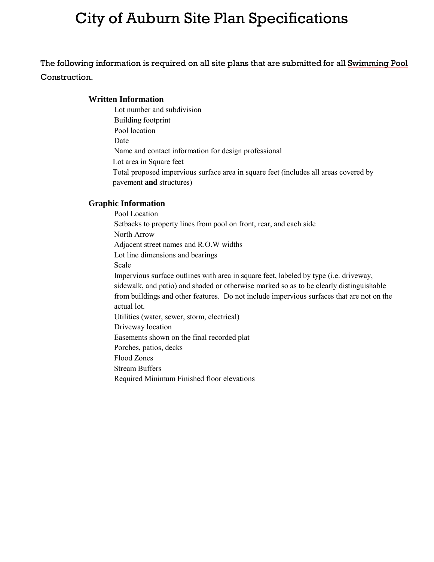# City of Auburn Site Plan Specifications

The following information is required on all site plans that are submitted for all Swimming Pool Construction.

### **Written Information**

Lot number and subdivision Building footprint Pool location Date Name and contact information for design professional Lot area in Square feet Total proposed impervious surface area in square feet (includes all areas covered by pavement **and** structures)

### **Graphic Information**

Pool Location Setbacks to property lines from pool on front, rear, and each side North Arrow Adjacent street names and R.O.W widths Lot line dimensions and bearings Scale Impervious surface outlines with area in square feet, labeled by type (i.e. driveway, sidewalk, and patio) and shaded or otherwise marked so as to be clearly distinguishable from buildings and other features. Do not include impervious surfaces that are not on the actual lot. Utilities (water, sewer, storm, electrical) Driveway location Easements shown on the final recorded plat Porches, patios, decks Flood Zones Stream Buffers Required Minimum Finished floor elevations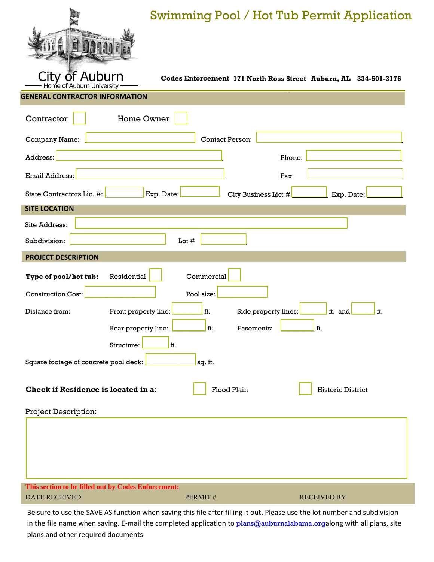

## Swimming Pool / Hot Tub Permit Application

**Codes Enforcement 171 North Ross Street Auburn, AL 334-501-3176**

**GENERAL CONTRACTOR INFORMATION**

Home of Auburn University

| Contractor<br><b>Home Owner</b>                                                       |                             |                    |  |  |
|---------------------------------------------------------------------------------------|-----------------------------|--------------------|--|--|
| Company Name:                                                                         | <b>Contact Person:</b>      |                    |  |  |
| Address:                                                                              | Phone:                      |                    |  |  |
| Email Address:                                                                        | Fax:                        |                    |  |  |
| State Contractors Lic. #:<br>Exp. Date:                                               | City Business Lic: $\#\n$   | Exp. Date:         |  |  |
| <b>SITE LOCATION</b>                                                                  |                             |                    |  |  |
| Site Address:                                                                         |                             |                    |  |  |
| Subdivision:                                                                          | Lot $#$                     |                    |  |  |
| <b>PROJECT DESCRIPTION</b>                                                            |                             |                    |  |  |
|                                                                                       |                             |                    |  |  |
| Residential<br>Type of pool/hot tub:                                                  | Commercial                  |                    |  |  |
| <b>Construction Cost:</b><br>Pool size:                                               |                             |                    |  |  |
| Front property line:<br>Distance from:                                                | ft.<br>Side property lines: | ft. and<br>ft.     |  |  |
| Rear property line:                                                                   | ft.<br>Easements:           | ft.                |  |  |
| Structure:<br>lft.                                                                    |                             |                    |  |  |
| Square footage of concrete pool deck:<br>sq. ft.                                      |                             |                    |  |  |
| <b>Check if Residence is located in a:</b><br>Flood Plain<br><b>Historic District</b> |                             |                    |  |  |
| <b>Project Description:</b>                                                           |                             |                    |  |  |
|                                                                                       |                             |                    |  |  |
| This section to be filled out by Codes Enforcement:                                   |                             |                    |  |  |
| <b>DATE RECEIVED</b>                                                                  | PERMIT#                     | <b>RECEIVED BY</b> |  |  |

Be sure to use the SAVE AS function when saving this file after filling it out. Please use the lot number and subdivision in the file name when saving. E-mail the completed application to [plans@auburnalabama.org](mailto:plans@auburnalabama.org)along with all plans, site plans and other required documents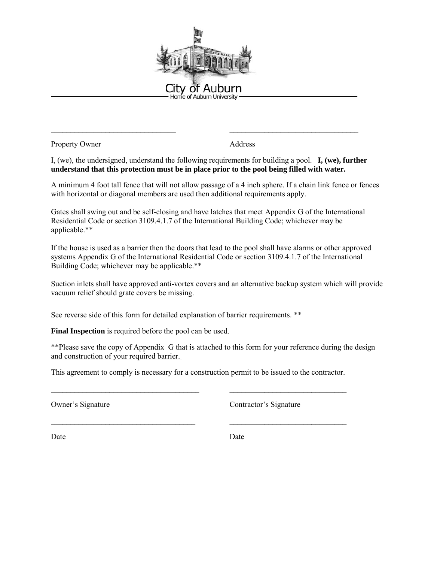

Property Owner Address

I, (we), the undersigned, understand the following requirements for building a pool. **I, (we), further understand that this protection must be in place prior to the pool being filled with water.**

\_\_\_\_\_\_\_\_\_\_\_\_\_\_\_\_\_\_\_\_\_\_\_\_\_\_\_\_\_\_\_\_ \_\_\_\_\_\_\_\_\_\_\_\_\_\_\_\_\_\_\_\_\_\_\_\_\_\_\_\_\_\_\_\_\_

A minimum 4 foot tall fence that will not allow passage of a 4 inch sphere. If a chain link fence or fences with horizontal or diagonal members are used then additional requirements apply.

Gates shall swing out and be self-closing and have latches that meet Appendix G of the International Residential Code or section 3109.4.1.7 of the International Building Code; whichever may be applicable.\*\*

If the house is used as a barrier then the doors that lead to the pool shall have alarms or other approved systems Appendix G of the International Residential Code or section 3109.4.1.7 of the International Building Code; whichever may be applicable.\*\*

Suction inlets shall have approved anti-vortex covers and an alternative backup system which will provide vacuum relief should grate covers be missing.

See reverse side of this form for detailed explanation of barrier requirements. \*\*

**Final Inspection** is required before the pool can be used.

\*\*Please save the copy of Appendix G that is attached to this form for your reference during the design and construction of your required barrier.

This agreement to comply is necessary for a construction permit to be issued to the contractor.

\_\_\_\_\_\_\_\_\_\_\_\_\_\_\_\_\_\_\_\_\_\_\_\_\_\_\_\_\_\_\_\_\_\_\_\_\_\_ \_\_\_\_\_\_\_\_\_\_\_\_\_\_\_\_\_\_\_\_\_\_\_\_\_\_\_\_\_\_

\_\_\_\_\_\_\_\_\_\_\_\_\_\_\_\_\_\_\_\_\_\_\_\_\_\_\_\_\_\_\_\_\_\_\_\_\_ \_\_\_\_\_\_\_\_\_\_\_\_\_\_\_\_\_\_\_\_\_\_\_\_\_\_\_\_\_\_

Owner's Signature Contractor's Signature

Date Date Date